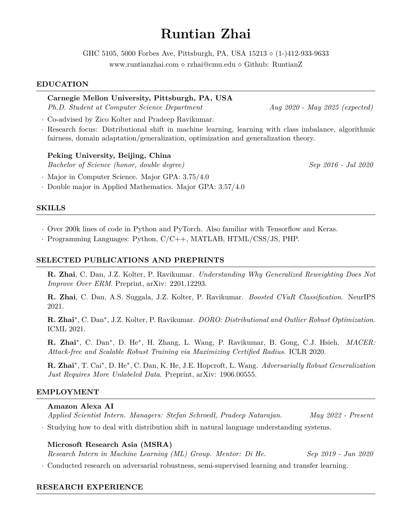# **Runtian Zhai**

GHC 5105, 5000 Forbes Ave, Pittsburgh, PA, USA 15213 *⋄* (1-)412-933-9633

www.runtianzhai.com *⋄* rzhai@cmu.edu *⋄* Github: RuntianZ

# **EDUCATION**

**Carnegie Mellon University, Pittsburgh, PA, USA** *Ph.D. Student at Computer Science Department Aug 2020 - May 2025 (expected)*

*·* Co-advised by Zico Kolter and Pradeep Ravikumar.

*·* Research focus: Distributional shift in machine learning, learning with class imbalance, algorithmic fairness, domain adaptation/generalization, optimization and generalization theory.

# **Peking University, Beijing, China**

*Bachelor of Science (honor, double degree) Sep 2016 - Jul 2020*

*·* Major in Computer Science. Major GPA: 3.75/4.0

*·* Double major in Applied Mathematics. Major GPA: 3.57/4.0

## **SKILLS**

*·* Over 200k lines of code in Python and PyTorch. Also familiar with Tensorflow and Keras.

*·* Programming Languages: Python, C/C++, MATLAB, HTML/CSS/JS, PHP.

## **SELECTED PUBLICATIONS AND PREPRINTS**

**R. Zhai**, C. Dan, J.Z. Kolter, P. Ravikumar. *Understanding Why Generalized Reweighting Does Not Improve Over ERM*. Preprint, arXiv: 2201.12293.

**R. Zhai**, C. Dan, A.S. Suggala, J.Z. Kolter, P. Ravikumar. *Boosted CVaR Classification*. NeurIPS 2021.

**R. Zhai***∗* , C. Dan*∗* , J.Z. Kolter, P. Ravikumar. *DORO: Distributional and Outlier Robust Optimization*. ICML 2021.

**R. Zhai***∗* , C. Dan*∗* , D. He*∗* , H. Zhang, L. Wang, P. Ravikumar, B. Gong, C.J. Hsieh. *MACER: Attack-free and Scalable Robust Training via Maximizing Certified Radius*. ICLR 2020.

**R. Zhai***∗* , T. Cai*∗* , D. He*∗* , C. Dan, K. He, J.E. Hopcroft, L. Wang. *Adversarially Robust Generalization Just Requires More Unlabeled Data*. Preprint, arXiv: 1906.00555.

## **EMPLOYMENT**

#### **Amazon Alexa AI**

*Applied Scientist Intern. Managers: Stefan Schroedl, Pradeep Natarajan. May 2022 - Present*

*·* Studying how to deal with distribution shift in natural language understanding systems.

## **Microsoft Research Asia (MSRA)**

*Research Intern in Machine Learning (ML) Group. Mentor: Di He. Sep 2019 - Jun 2020*

*·* Conducted research on adversarial robustness, semi-supervised learning and transfer learning.

## **RESEARCH EXPERIENCE**